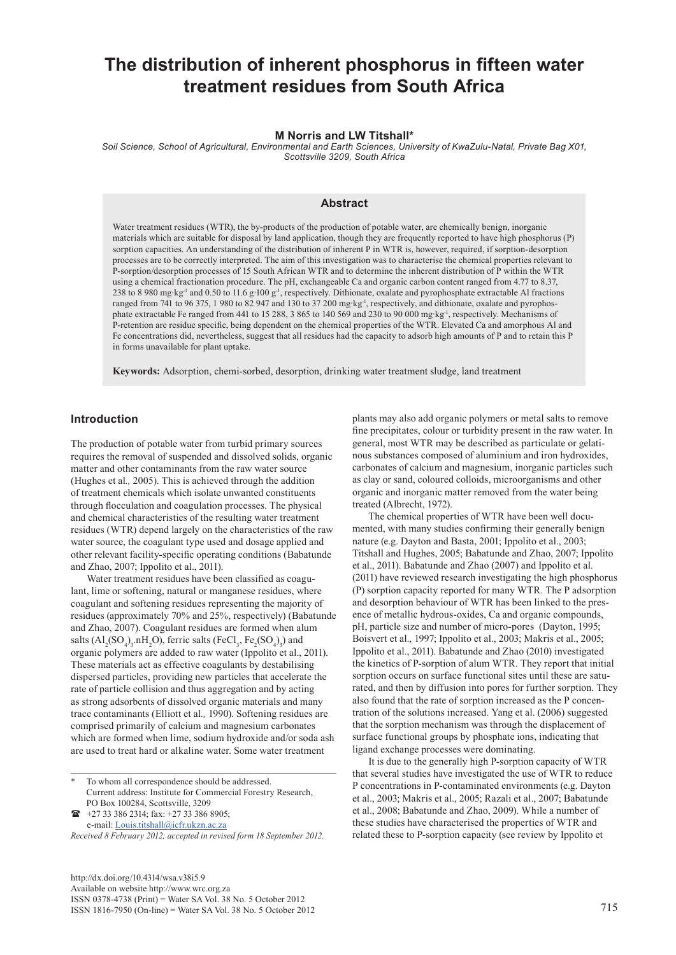# **The distribution of inherent phosphorus in fifteen water treatment residues from South Africa**

#### **M Norris and LW Titshall\***

*Soil Science, School of Agricultural, Environmental and Earth Sciences, University of KwaZulu-Natal, Private Bag X01, Scottsville 3209, South Africa* 

#### **Abstract**

Water treatment residues (WTR), the by-products of the production of potable water, are chemically benign, inorganic materials which are suitable for disposal by land application, though they are frequently reported to have high phosphorus (P) sorption capacities. An understanding of the distribution of inherent P in WTR is, however, required, if sorption-desorption processes are to be correctly interpreted. The aim of this investigation was to characterise the chemical properties relevant to P-sorption/desorption processes of 15 South African WTR and to determine the inherent distribution of P within the WTR using a chemical fractionation procedure. The pH, exchangeable Ca and organic carbon content ranged from 4.77 to 8.37, 238 to 8 980 mg·kg<sup>-1</sup> and 0.50 to 11.6 g·100 g<sup>-1</sup>, respectively. Dithionate, oxalate and pyrophosphate extractable Al fractions ranged from 741 to 96 375, 1 980 to 82 947 and 130 to 37 200 mg·kg<sup>-1</sup>, respectively, and dithionate, oxalate and pyrophosphate extractable Fe ranged from 441 to 15 288, 3 865 to 140 569 and 230 to 90 000 mg·kg<sup>-1</sup>, respectively. Mechanisms of P-retention are residue specific, being dependent on the chemical properties of the WTR. Elevated Ca and amorphous Al and Fe concentrations did, nevertheless, suggest that all residues had the capacity to adsorb high amounts of P and to retain this P in forms unavailable for plant uptake.

**Keywords:** Adsorption, chemi-sorbed, desorption, drinking water treatment sludge, land treatment

# **Introduction**

The production of potable water from turbid primary sources requires the removal of suspended and dissolved solids, organic matter and other contaminants from the raw water source (Hughes et al*.,* 2005). This is achieved through the addition of treatment chemicals which isolate unwanted constituents through flocculation and coagulation processes. The physical and chemical characteristics of the resulting water treatment residues (WTR) depend largely on the characteristics of the raw water source, the coagulant type used and dosage applied and other relevant facility-specific operating conditions (Babatunde and Zhao, 2007; Ippolito et al., 2011).

Water treatment residues have been classified as coagulant, lime or softening, natural or manganese residues, where coagulant and softening residues representing the majority of residues (approximately 70% and 25%, respectively) (Babatunde and Zhao, 2007). Coagulant residues are formed when alum salts  $(Al_2(SO_4)_3. nH_2O)$ , ferric salts  $(FeCl_3, Fe_2(SO_4)_3)$  and organic polymers are added to raw water (Ippolito et al., 2011). These materials act as effective coagulants by destabilising dispersed particles, providing new particles that accelerate the rate of particle collision and thus aggregation and by acting as strong adsorbents of dissolved organic materials and many trace contaminants (Elliott et al*.,* 1990). Softening residues are comprised primarily of calcium and magnesium carbonates which are formed when lime, sodium hydroxide and/or soda ash are used to treat hard or alkaline water. Some water treatment

To whom all correspondence should be addressed. Current address: Institute for Commercial Forestry Research, PO Box 100284, Scottsville, 3209

 $\rightarrow$  +27 33 386 2314; fax: +27 33 386 8905; e-mail: [Louis.titshall@icfr.ukzn.ac.za](mailto:Louis.titshall@icfr.ukzn.ac.za)

*Received 8 February 2012; accepted in revised form 18 September 2012.*

[http://dx.doi.org/10.4314/wsa.v38i5.9](http://dx.doi.org/10.4314/wsa.v37i4.18) Available on website http://www.wrc.org.za ISSN 0378-4738 (Print) = Water SA Vol. 38 No. 5 October 2012 ISSN 1816-7950 (On-line) = Water SA Vol. 38 No. 5 October 2012 715

plants may also add organic polymers or metal salts to remove fine precipitates, colour or turbidity present in the raw water. In general, most WTR may be described as particulate or gelatinous substances composed of aluminium and iron hydroxides, carbonates of calcium and magnesium, inorganic particles such as clay or sand, coloured colloids, microorganisms and other organic and inorganic matter removed from the water being treated (Albrecht, 1972).

The chemical properties of WTR have been well documented, with many studies confirming their generally benign nature (e.g. Dayton and Basta, 2001; Ippolito et al., 2003; Titshall and Hughes, 2005; Babatunde and Zhao, 2007; Ippolito et al., 2011). Babatunde and Zhao (2007) and Ippolito et al. (2011) have reviewed research investigating the high phosphorus (P) sorption capacity reported for many WTR. The P adsorption and desorption behaviour of WTR has been linked to the presence of metallic hydrous-oxides, Ca and organic compounds, pH, particle size and number of micro-pores (Dayton, 1995; Boisvert et al., 1997; Ippolito et al., 2003; Makris et al., 2005; Ippolito et al., 2011). Babatunde and Zhao (2010) investigated the kinetics of P-sorption of alum WTR. They report that initial sorption occurs on surface functional sites until these are saturated, and then by diffusion into pores for further sorption. They also found that the rate of sorption increased as the P concentration of the solutions increased. Yang et al. (2006) suggested that the sorption mechanism was through the displacement of surface functional groups by phosphate ions, indicating that ligand exchange processes were dominating.

It is due to the generally high P-sorption capacity of WTR that several studies have investigated the use of WTR to reduce P concentrations in P-contaminated environments (e.g. Dayton et al., 2003; Makris et al., 2005; Razali et al., 2007; Babatunde et al., 2008; Babatunde and Zhao, 2009). While a number of these studies have characterised the properties of WTR and related these to P-sorption capacity (see review by Ippolito et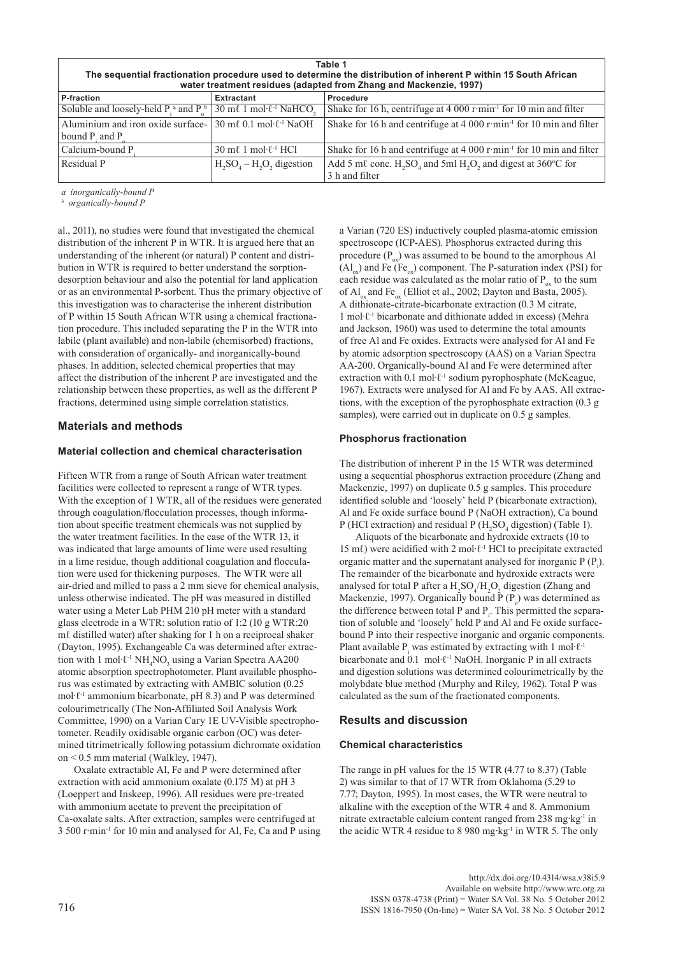| Table 1<br>The sequential fractionation procedure used to determine the distribution of inherent P within 15 South African<br>water treatment residues (adapted from Zhang and Mackenzie, 1997) |                                                    |                                                                                                        |  |  |  |  |  |  |  |
|-------------------------------------------------------------------------------------------------------------------------------------------------------------------------------------------------|----------------------------------------------------|--------------------------------------------------------------------------------------------------------|--|--|--|--|--|--|--|
| P-fraction                                                                                                                                                                                      | <b>Extractant</b>                                  | Procedure                                                                                              |  |  |  |  |  |  |  |
| Soluble and loosely-held P and P $\frac{b}{2}$ 30 ml 1 mol $\ell$ <sup>-1</sup> NaHCO <sub>3</sub>                                                                                              |                                                    | Shake for 16 h, centrifuge at 4 000 $r \cdot min^{-1}$ for 10 min and filter                           |  |  |  |  |  |  |  |
| Aluminium and iron oxide surface - $30 \text{ m} \ell$ 0.1 mol $\ell$ <sup>-1</sup> NaOH                                                                                                        |                                                    | Shake for 16 h and centrifuge at 4 000 $r$ min <sup>-1</sup> for 10 min and filter                     |  |  |  |  |  |  |  |
| bound P and P                                                                                                                                                                                   |                                                    |                                                                                                        |  |  |  |  |  |  |  |
| Calcium-bound P.                                                                                                                                                                                | $30 \text{ m} \ell$ 1 mol $\ell$ <sup>-1</sup> HCl | Shake for 16 h and centrifuge at 4 000 r min <sup>-1</sup> for 10 min and filter                       |  |  |  |  |  |  |  |
| Residual P                                                                                                                                                                                      | $H_2SO_4 - H_2O_2$ digestion                       | Add 5 ml conc. $H$ , $SO$ <sub>4</sub> and 5ml $H$ <sub>2</sub> O <sub>2</sub> and digest at 360°C for |  |  |  |  |  |  |  |
|                                                                                                                                                                                                 |                                                    | 3 h and filter                                                                                         |  |  |  |  |  |  |  |

*a inorganically-bound P*

*b organically-bound P*

al., 2011), no studies were found that investigated the chemical distribution of the inherent P in WTR. It is argued here that an understanding of the inherent (or natural) P content and distribution in WTR is required to better understand the sorptiondesorption behaviour and also the potential for land application or as an environmental P-sorbent. Thus the primary objective of this investigation was to characterise the inherent distribution of P within 15 South African WTR using a chemical fractionation procedure. This included separating the P in the WTR into labile (plant available) and non-labile (chemisorbed) fractions, with consideration of organically- and inorganically-bound phases. In addition, selected chemical properties that may affect the distribution of the inherent P are investigated and the relationship between these properties, as well as the different P fractions, determined using simple correlation statistics.

## **Materials and methods**

#### **Material collection and chemical characterisation**

Fifteen WTR from a range of South African water treatment facilities were collected to represent a range of WTR types. With the exception of 1 WTR, all of the residues were generated through coagulation/flocculation processes, though information about specific treatment chemicals was not supplied by the water treatment facilities. In the case of the WTR 13, it was indicated that large amounts of lime were used resulting in a lime residue, though additional coagulation and flocculation were used for thickening purposes. The WTR were all air-dried and milled to pass a 2 mm sieve for chemical analysis, unless otherwise indicated. The pH was measured in distilled water using a Meter Lab PHM 210 pH meter with a standard glass electrode in a WTR: solution ratio of 1:2 (10 g WTR:20 mℓ distilled water) after shaking for 1 h on a reciprocal shaker (Dayton, 1995). Exchangeable Ca was determined after extraction with 1 mol  $\ell$ <sup>-1</sup> NH<sub>4</sub>NO<sub>3</sub> using a Varian Spectra AA200 atomic absorption spectrophotometer. Plant available phosphorus was estimated by extracting with AMBIC solution (0.25 mol $\ell$ <sup>-1</sup> ammonium bicarbonate, pH 8.3) and P was determined colourimetrically (The Non-Affiliated Soil Analysis Work Committee, 1990) on a Varian Cary 1E UV-Visible spectrophotometer. Readily oxidisable organic carbon (OC) was determined titrimetrically following potassium dichromate oxidation on < 0.5 mm material (Walkley, 1947).

Oxalate extractable Al, Fe and P were determined after extraction with acid ammonium oxalate (0.175 M) at pH 3 (Loeppert and Inskeep, 1996). All residues were pre-treated with ammonium acetate to prevent the precipitation of Ca-oxalate salts. After extraction, samples were centrifuged at 3 500 r·min-1 for 10 min and analysed for Al, Fe, Ca and P using a Varian (720 ES) inductively coupled plasma-atomic emission spectroscope (ICP-AES). Phosphorus extracted during this procedure  $(P_{\alpha})$  was assumed to be bound to the amorphous Al  $(Al_{\infty})$  and Fe (Fe<sub>\cox)</sub> component. The P-saturation index (PSI) for each residue was calculated as the molar ratio of  $P_{\alpha}$  to the sum of  $AI_{\infty}$  and Fe<sub> $\infty$ </sub> (Elliot et al., 2002; Dayton and Basta, 2005). A dithionate-citrate-bicarbonate extraction (0.3 M citrate, 1 mol·ℓ-1 bicarbonate and dithionate added in excess) (Mehra and Jackson, 1960) was used to determine the total amounts of free Al and Fe oxides. Extracts were analysed for Al and Fe by atomic adsorption spectroscopy (AAS) on a Varian Spectra AA-200. Organically-bound Al and Fe were determined after extraction with 0.1 mol $\ell$ <sup>-1</sup> sodium pyrophosphate (McKeague, 1967). Extracts were analysed for Al and Fe by AAS. All extractions, with the exception of the pyrophosphate extraction (0.3 g samples), were carried out in duplicate on 0.5 g samples.

#### **Phosphorus fractionation**

The distribution of inherent P in the 15 WTR was determined using a sequential phosphorus extraction procedure (Zhang and Mackenzie, 1997) on duplicate 0.5 g samples. This procedure identified soluble and 'loosely' held P (bicarbonate extraction), Al and Fe oxide surface bound P (NaOH extraction), Ca bound P (HCl extraction) and residual P ( $H_2SO_4$  digestion) (Table 1).

Aliquots of the bicarbonate and hydroxide extracts (10 to 15 mℓ) were acidified with 2 mol·ℓ-1 HCl to precipitate extracted organic matter and the supernatant analysed for inorganic  $P(P_i)$ . The remainder of the bicarbonate and hydroxide extracts were analysed for total P after a  $H_2SO_4/H_2O_2$  digestion (Zhang and Mackenzie, 1997). Organically bound P  $(P_0)$  was determined as the difference between total P and  $P_i$ . This permitted the separation of soluble and 'loosely' held P and Al and Fe oxide surfacebound P into their respective inorganic and organic components. Plant available  $P_i$  was estimated by extracting with 1 mol· $\ell$ <sup>-1</sup> bicarbonate and  $0.1 \text{ mol } \ell^{-1}$  NaOH. Inorganic P in all extracts and digestion solutions was determined colourimetrically by the molybdate blue method (Murphy and Riley, 1962). Total P was calculated as the sum of the fractionated components.

## **Results and discussion**

#### **Chemical characteristics**

The range in pH values for the 15 WTR (4.77 to 8.37) (Table 2) was similar to that of 17 WTR from Oklahoma (5.29 to 7.77; Dayton, 1995). In most cases, the WTR were neutral to alkaline with the exception of the WTR 4 and 8. Ammonium nitrate extractable calcium content ranged from 238 mg·kg-1 in the acidic WTR 4 residue to 8 980 mg·kg-1 in WTR 5. The only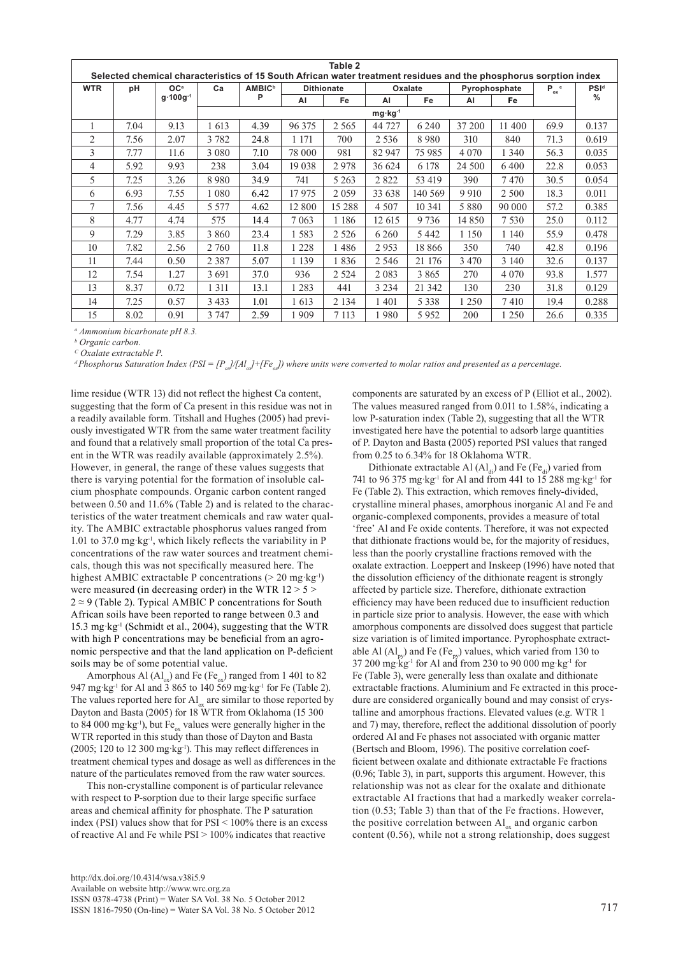| Table 2<br>Selected chemical characteristics of 15 South African water treatment residues and the phosphorus sorption index |      |                     |         |                           |                                  |                   |         |          |               |         |                    |                         |  |
|-----------------------------------------------------------------------------------------------------------------------------|------|---------------------|---------|---------------------------|----------------------------------|-------------------|---------|----------|---------------|---------|--------------------|-------------------------|--|
| <b>WTR</b>                                                                                                                  | pH   | OC <sup>a</sup>     | Ca      | <b>AMBIC</b> <sup>b</sup> |                                  | <b>Dithionate</b> | Oxalate |          | Pyrophosphate |         | $P_{ox}^{\quad c}$ | <b>PSI</b> <sup>d</sup> |  |
|                                                                                                                             |      | $g \cdot 100g^{-1}$ |         | P                         | Fe<br>AI<br>Fe<br>AI<br>AI<br>Fe |                   |         |          |               |         |                    | $\%$                    |  |
|                                                                                                                             |      |                     |         | $mg \cdot kg^{-1}$        |                                  |                   |         |          |               |         |                    |                         |  |
|                                                                                                                             | 7.04 | 9.13                | 1 613   | 4.39                      | 96 375                           | 2 5 6 5           | 44 727  | 6 2 4 0  | 37 200        | 11 400  | 69.9               | 0.137                   |  |
| $\overline{2}$                                                                                                              | 7.56 | 2.07                | 3782    | 24.8                      | 1 171                            | 700               | 2 5 3 6 | 8980     | 310           | 840     | 71.3               | 0.619                   |  |
| 3                                                                                                                           | 7.77 | 11.6                | 3 0 8 0 | 7.10                      | 78 000                           | 981               | 82 947  | 75 985   | 4 0 7 0       | 1 3 4 0 | 56.3               | 0.035                   |  |
| $\overline{4}$                                                                                                              | 5.92 | 9.93                | 238     | 3.04                      | 19 038                           | 2978              | 36 624  | 6 178    | 24 500        | 6400    | 22.8               | 0.053                   |  |
| 5                                                                                                                           | 7.25 | 3.26                | 8980    | 34.9                      | 741                              | 5 2 6 3           | 2822    | 53 419   | 390           | 7470    | 30.5               | 0.054                   |  |
| 6                                                                                                                           | 6.93 | 7.55                | 1 0 8 0 | 6.42                      | 17975                            | 2 0 5 9           | 33 638  | 140 569  | 9 9 10        | 2 500   | 18.3               | 0.011                   |  |
| $\tau$                                                                                                                      | 7.56 | 4.45                | 5 5 7 7 | 4.62                      | 12 800                           | 15 288            | 4 5 0 7 | 10 341   | 5 8 8 0       | 90 000  | 57.2               | 0.385                   |  |
| 8                                                                                                                           | 4.77 | 4.74                | 575     | 14.4                      | 7 0 6 3                          | 1 1 8 6           | 12 615  | 9736     | 14 850        | 7 5 3 0 | 25.0               | 0.112                   |  |
| 9                                                                                                                           | 7.29 | 3.85                | 3 8 6 0 | 23.4                      | 1 583                            | 2 5 2 6           | 6 2 6 0 | 5 4 4 2  | 1 1 5 0       | 1 1 4 0 | 55.9               | 0.478                   |  |
| 10                                                                                                                          | 7.82 | 2.56                | 2 760   | 11.8                      | 228                              | 1486              | 2953    | 18 8 6 6 | 350           | 740     | 42.8               | 0.196                   |  |
| 11                                                                                                                          | 7.44 | 0.50                | 2 3 8 7 | 5.07                      | 1 1 3 9                          | 836               | 2 5 4 6 | 21 176   | 3 4 7 0       | 3 140   | 32.6               | 0.137                   |  |
| 12                                                                                                                          | 7.54 | 1.27                | 3 6 9 1 | 37.0                      | 936                              | 2 5 2 4           | 2 0 8 3 | 3 8 6 5  | 270           | 4 0 7 0 | 93.8               | 1.577                   |  |
| 13                                                                                                                          | 8.37 | 0.72                | 1 3 1 1 | 13.1                      | 1 2 8 3                          | 441               | 3 2 3 4 | 21 3 4 2 | 130           | 230     | 31.8               | 0.129                   |  |
| 14                                                                                                                          | 7.25 | 0.57                | 3 4 3 3 | 1.01                      | 1 613                            | 2 1 3 4           | 1 401   | 5 3 3 8  | 1 250         | 7410    | 19.4               | 0.288                   |  |
| 15                                                                                                                          | 8.02 | 0.91                | 3 747   | 2.59                      | 909                              | 7 1 1 3           | 1 980   | 5952     | 200           | 1 250   | 26.6               | 0.335                   |  |

*a Ammonium bicarbonate pH 8.3.*

*b Organic carbon.*

*C Oxalate extractable P.*

*d Phosphorus Saturation Index (PSI =*  $[P_o]/[A_l_o]+[Fe_o]$ *) where units were converted to molar ratios and presented as a percentage.* 

lime residue (WTR 13) did not reflect the highest Ca content, suggesting that the form of Ca present in this residue was not in a readily available form. Titshall and Hughes (2005) had previously investigated WTR from the same water treatment facility and found that a relatively small proportion of the total Ca present in the WTR was readily available (approximately 2.5%). However, in general, the range of these values suggests that there is varying potential for the formation of insoluble calcium phosphate compounds. Organic carbon content ranged between 0.50 and 11.6% (Table 2) and is related to the characteristics of the water treatment chemicals and raw water quality. The AMBIC extractable phosphorus values ranged from 1.01 to 37.0 mg·kg-1, which likely reflects the variability in P concentrations of the raw water sources and treatment chemicals, though this was not specifically measured here. The highest AMBIC extractable P concentrations (> 20 mg·kg<sup>-1</sup>) were measured (in decreasing order) in the WTR  $12 > 5 >$  $2 \approx 9$  (Table 2). Typical AMBIC P concentrations for South African soils have been reported to range between 0.3 and 15.3 mg·kg-1 (Schmidt et al., 2004), suggesting that the WTR with high P concentrations may be beneficial from an agronomic perspective and that the land application on P-deficient soils may be of some potential value.

Amorphous Al  $(AI_{\alpha}^{\dagger})$  and Fe (Fe<sub>ox</sub>) ranged from 1 401 to 82 947 mg·kg<sup>-1</sup> for Al and  $\frac{3}{3}$  865 to 140 569 mg·kg<sup>-1</sup> for Fe (Table 2). The values reported here for  $AI_{ox}$  are similar to those reported by Dayton and Basta (2005) for 18 WTR from Oklahoma (15 300 to 84 000 mg·kg<sup>-1</sup>), but Fe<sub>ox</sub> values were generally higher in the WTR reported in this study than those of Dayton and Basta (2005; 120 to 12 300 mg·kg-1). This may reflect differences in treatment chemical types and dosage as well as differences in the nature of the particulates removed from the raw water sources.

This non-crystalline component is of particular relevance with respect to P-sorption due to their large specific surface areas and chemical affinity for phosphate. The P saturation index (PSI) values show that for PSI < 100% there is an excess of reactive Al and Fe while PSI > 100% indicates that reactive

components are saturated by an excess of P (Elliot et al., 2002). The values measured ranged from 0.011 to 1.58%, indicating a low P-saturation index (Table 2), suggesting that all the WTR investigated here have the potential to adsorb large quantities of P. Dayton and Basta (2005) reported PSI values that ranged from 0.25 to 6.34% for 18 Oklahoma WTR.

Dithionate extractable Al  $(Al_{di})$  and Fe (Fe<sub>di</sub>) varied from 741 to 96 375 mg·kg-1 for Al and from 441 to 15 288 mg·kg-1 for Fe (Table 2). This extraction, which removes finely-divided, crystalline mineral phases, amorphous inorganic Al and Fe and organic-complexed components, provides a measure of total 'free' Al and Fe oxide contents. Therefore, it was not expected that dithionate fractions would be, for the majority of residues, less than the poorly crystalline fractions removed with the oxalate extraction. Loeppert and Inskeep (1996) have noted that the dissolution efficiency of the dithionate reagent is strongly affected by particle size. Therefore, dithionate extraction efficiency may have been reduced due to insufficient reduction in particle size prior to analysis. However, the ease with which amorphous components are dissolved does suggest that particle size variation is of limited importance. Pyrophosphate extractable Al  $(Al_{py})$  and Fe (Fe<sub>py</sub>) values, which varied from 130 to 37 200 mg $\text{kg}$ <sup>1</sup> for Al and from 230 to 90 000 mg $\text{kg}$ <sup>1</sup> for Fe (Table 3), were generally less than oxalate and dithionate extractable fractions. Aluminium and Fe extracted in this procedure are considered organically bound and may consist of crystalline and amorphous fractions. Elevated values (e.g. WTR 1 and 7) may, therefore, reflect the additional dissolution of poorly ordered Al and Fe phases not associated with organic matter (Bertsch and Bloom, 1996). The positive correlation coefficient between oxalate and dithionate extractable Fe fractions (0.96; Table 3), in part, supports this argument. However, this relationship was not as clear for the oxalate and dithionate extractable Al fractions that had a markedly weaker correlation (0.53; Table 3) than that of the Fe fractions. However, the positive correlation between  $AI_{\infty}$  and organic carbon content (0.56), while not a strong relationship, does suggest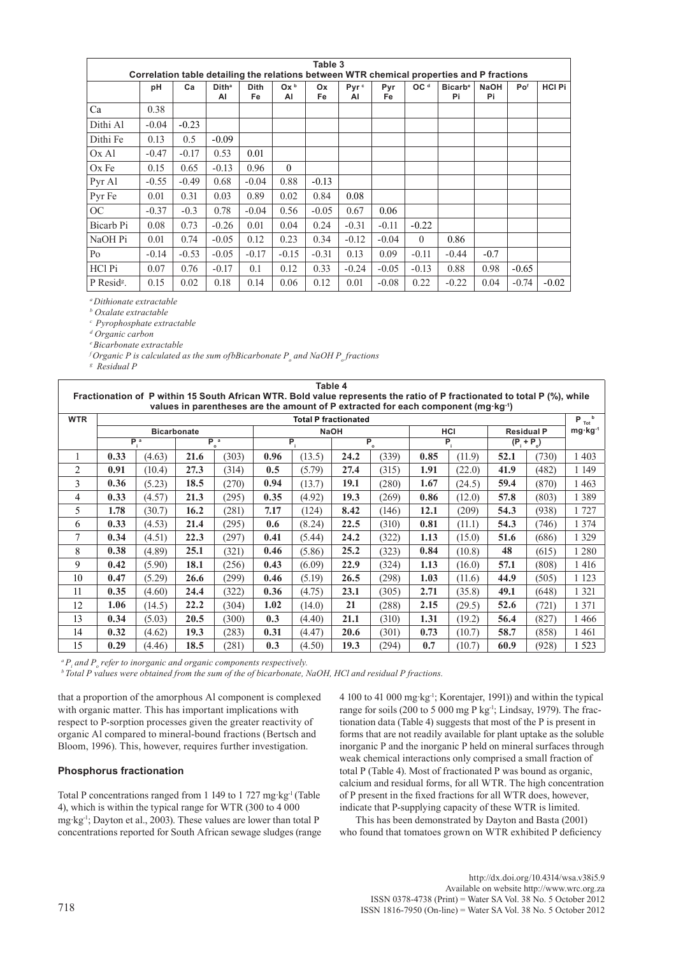| Table 3<br>Correlation table detailing the relations between WTR chemical properties and P fractions |         |         |                         |                   |                       |          |                        |           |                 |                                  |                   |                 |         |
|------------------------------------------------------------------------------------------------------|---------|---------|-------------------------|-------------------|-----------------------|----------|------------------------|-----------|-----------------|----------------------------------|-------------------|-----------------|---------|
|                                                                                                      | рH      | Ca      | Dith <sup>a</sup><br>AI | <b>Dith</b><br>Fe | Ox <sup>b</sup><br>AI | 0x<br>Fe | Pyr <sup>c</sup><br>AI | Pyr<br>Fe | OC <sup>d</sup> | <b>Bicarb</b> <sup>e</sup><br>Pi | <b>NaOH</b><br>Pi | Po <sup>f</sup> | HCI Pi  |
| Ca                                                                                                   | 0.38    |         |                         |                   |                       |          |                        |           |                 |                                  |                   |                 |         |
| Dithi Al                                                                                             | $-0.04$ | $-0.23$ |                         |                   |                       |          |                        |           |                 |                                  |                   |                 |         |
| Dithi Fe                                                                                             | 0.13    | 0.5     | $-0.09$                 |                   |                       |          |                        |           |                 |                                  |                   |                 |         |
| $Ox$ Al                                                                                              | $-0.47$ | $-0.17$ | 0.53                    | 0.01              |                       |          |                        |           |                 |                                  |                   |                 |         |
| $Ox$ Fe                                                                                              | 0.15    | 0.65    | $-0.13$                 | 0.96              | $\Omega$              |          |                        |           |                 |                                  |                   |                 |         |
| Pyr Al                                                                                               | $-0.55$ | $-0.49$ | 0.68                    | $-0.04$           | 0.88                  | $-0.13$  |                        |           |                 |                                  |                   |                 |         |
| Pyr Fe                                                                                               | 0.01    | 0.31    | 0.03                    | 0.89              | 0.02                  | 0.84     | 0.08                   |           |                 |                                  |                   |                 |         |
| OC                                                                                                   | $-0.37$ | $-0.3$  | 0.78                    | $-0.04$           | 0.56                  | $-0.05$  | 0.67                   | 0.06      |                 |                                  |                   |                 |         |
| Bicarb Pi                                                                                            | 0.08    | 0.73    | $-0.26$                 | 0.01              | 0.04                  | 0.24     | $-0.31$                | $-0.11$   | $-0.22$         |                                  |                   |                 |         |
| NaOH Pi                                                                                              | 0.01    | 0.74    | $-0.05$                 | 0.12              | 0.23                  | 0.34     | $-0.12$                | $-0.04$   | $\theta$        | 0.86                             |                   |                 |         |
| Po                                                                                                   | $-0.14$ | $-0.53$ | $-0.05$                 | $-0.17$           | $-0.15$               | $-0.31$  | 0.13                   | 0.09      | $-0.11$         | $-0.44$                          | $-0.7$            |                 |         |
| HCl Pi                                                                                               | 0.07    | 0.76    | $-0.17$                 | 0.1               | 0.12                  | 0.33     | $-0.24$                | $-0.05$   | $-0.13$         | 0.88                             | 0.98              | $-0.65$         |         |
| P Resid <sup>g</sup> .                                                                               | 0.15    | 0.02    | 0.18                    | 0.14              | 0.06                  | 0.12     | 0.01                   | $-0.08$   | 0.22            | $-0.22$                          | 0.04              | $-0.74$         | $-0.02$ |

*a Dithionate extractable* 

*b Oxalate extractable*

*c Pyrophosphate extractable* 

*d Organic carbon*

*e Bicarbonate extractable*

*f Organic P is calculated as the sum of bBicarbonate*  $P_{_o}$  *and NaOH*  $P_{_o}$  *fractions* 

*g Residual P*

| Table 4                                                                                                                 |  |  |  |  |  |  |  |
|-------------------------------------------------------------------------------------------------------------------------|--|--|--|--|--|--|--|
| Fractionation of P within 15 South African WTR. Bold value represents the ratio of P fractionated to total P (%), while |  |  |  |  |  |  |  |
| values in parentheses are the amount of P extracted for each component (mq kq <sup>-1</sup> )                           |  |  |  |  |  |  |  |

| <b>WTR</b> | <b>Total P fractionated</b> |                    |                    |       |      |             |              |       |      |        |                   |       | $P_{\text{Tot}}^{b}$ |
|------------|-----------------------------|--------------------|--------------------|-------|------|-------------|--------------|-------|------|--------|-------------------|-------|----------------------|
|            |                             | <b>Bicarbonate</b> |                    |       |      | <b>NaOH</b> |              |       | HCI  |        | <b>Residual P</b> |       | $mg \cdot kg^{-1}$   |
|            | P <sub>1</sub>              |                    | $\overline{P_o^a}$ |       | P,   |             | $P_{\alpha}$ |       | Р.   |        | $(P_1 + P_2)$     |       |                      |
|            | 0.33                        | (4.63)             | 21.6               | (303) | 0.96 | (13.5)      | 24.2         | (339) | 0.85 | (11.9) | 52.1              | (730) | 1 403                |
| 2          | 0.91                        | (10.4)             | 27.3               | (314) | 0.5  | (5.79)      | 27.4         | (315) | 1.91 | (22.0) | 41.9              | (482) | 1 1 4 9              |
| 3          | 0.36                        | (5.23)             | 18.5               | (270) | 0.94 | (13.7)      | 19.1         | (280) | 1.67 | (24.5) | 59.4              | (870) | 1463                 |
| 4          | 0.33                        | (4.57)             | 21.3               | (295) | 0.35 | (4.92)      | 19.3         | (269) | 0.86 | (12.0) | 57.8              | (803) | 1 3 8 9              |
| 5          | 1.78                        | (30.7)             | 16.2               | (281) | 7.17 | (124)       | 8.42         | (146) | 12.1 | (209)  | 54.3              | (938) | 1 727                |
| 6          | 0.33                        | (4.53)             | 21.4               | (295) | 0.6  | (8.24)      | 22.5         | (310) | 0.81 | (11.1) | 54.3              | (746) | 1 374                |
| 7          | 0.34                        | (4.51)             | 22.3               | (297) | 0.41 | (5.44)      | 24.2         | (322) | 1.13 | (15.0) | 51.6              | (686) | 1 3 2 9              |
| 8          | 0.38                        | (4.89)             | 25.1               | (321) | 0.46 | (5.86)      | 25.2         | (323) | 0.84 | (10.8) | 48                | (615) | 1 2 8 0              |
| 9          | 0.42                        | (5.90)             | 18.1               | (256) | 0.43 | (6.09)      | 22.9         | (324) | 1.13 | (16.0) | 57.1              | (808) | 1 4 1 6              |
| 10         | 0.47                        | (5.29)             | 26.6               | (299) | 0.46 | (5.19)      | 26.5         | (298) | 1.03 | (11.6) | 44.9              | (505) | 1 1 2 3              |
| 11         | 0.35                        | (4.60)             | 24.4               | (322) | 0.36 | (4.75)      | 23.1         | (305) | 2.71 | (35.8) | 49.1              | (648) | 1 3 2 1              |
| 12         | 1.06                        | (14.5)             | 22.2               | (304) | 1.02 | (14.0)      | 21           | (288) | 2.15 | (29.5) | 52.6              | (721) | 1 371                |
| 13         | 0.34                        | (5.03)             | 20.5               | (300) | 0.3  | (4.40)      | 21.1         | (310) | 1.31 | (19.2) | 56.4              | (827) | 1466                 |
| 14         | 0.32                        | (4.62)             | 19.3               | (283) | 0.31 | (4.47)      | 20.6         | (301) | 0.73 | (10.7) | 58.7              | (858) | 1 461                |
| 15         | 0.29                        | (4.46)             | 18.5               | (281) | 0.3  | (4.50)      | 19.3         | (294) | 0.7  | (10.7) | 60.9              | (928) | 1523                 |

<sup>*a*</sup> $P_i$  and  $P_o$  refer to inorganic and organic components respectively.

*b Total P values were obtained from the sum of the of bicarbonate, NaOH, HCl and residual P fractions.*

that a proportion of the amorphous Al component is complexed with organic matter. This has important implications with respect to P-sorption processes given the greater reactivity of organic Al compared to mineral-bound fractions (Bertsch and Bloom, 1996). This, however, requires further investigation.

#### **Phosphorus fractionation**

Total P concentrations ranged from 1 149 to 1 727 mg·kg-1 (Table 4), which is within the typical range for WTR (300 to 4 000 mg·kg-1; Dayton et al., 2003). These values are lower than total P concentrations reported for South African sewage sludges (range 4 100 to 41 000 mg·kg-1; Korentajer, 1991)) and within the typical range for soils  $(200 \text{ to } 5000 \text{ mg P kg}^{-1})$ ; Lindsay, 1979). The fractionation data (Table 4) suggests that most of the P is present in forms that are not readily available for plant uptake as the soluble inorganic P and the inorganic P held on mineral surfaces through weak chemical interactions only comprised a small fraction of total P (Table 4). Most of fractionated P was bound as organic, calcium and residual forms, for all WTR. The high concentration of P present in the fixed fractions for all WTR does, however, indicate that P-supplying capacity of these WTR is limited.

This has been demonstrated by Dayton and Basta (2001) who found that tomatoes grown on WTR exhibited P deficiency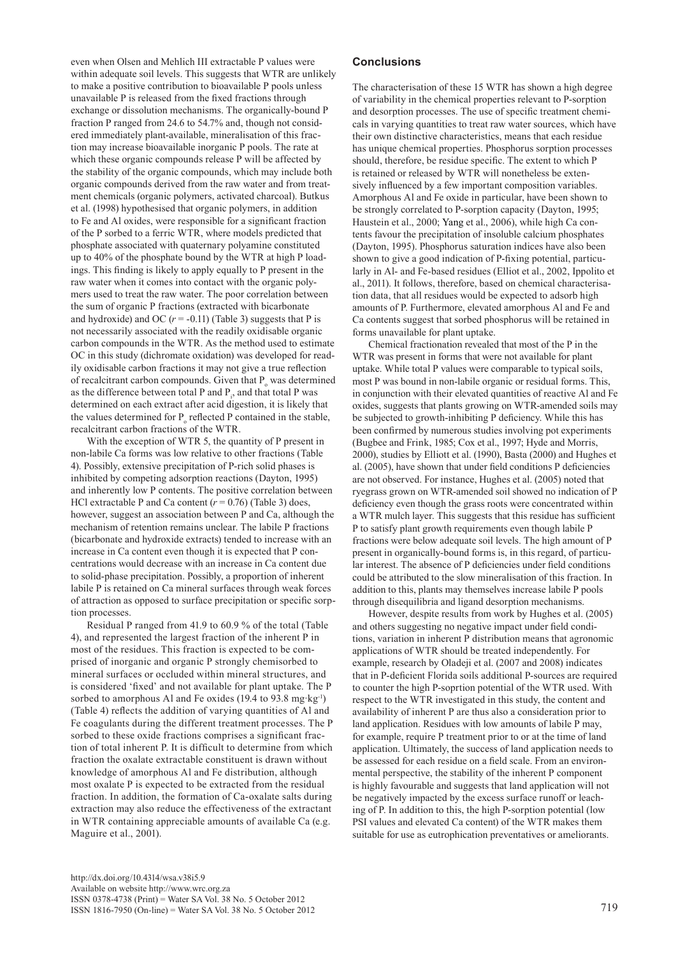even when Olsen and Mehlich III extractable P values were within adequate soil levels. This suggests that WTR are unlikely to make a positive contribution to bioavailable P pools unless unavailable P is released from the fixed fractions through exchange or dissolution mechanisms. The organically-bound P fraction P ranged from 24.6 to 54.7% and, though not considered immediately plant-available, mineralisation of this fraction may increase bioavailable inorganic P pools. The rate at which these organic compounds release P will be affected by the stability of the organic compounds, which may include both organic compounds derived from the raw water and from treatment chemicals (organic polymers, activated charcoal). Butkus et al. (1998) hypothesised that organic polymers, in addition to Fe and Al oxides, were responsible for a significant fraction of the P sorbed to a ferric WTR, where models predicted that phosphate associated with quaternary polyamine constituted up to 40% of the phosphate bound by the WTR at high P loadings. This finding is likely to apply equally to P present in the raw water when it comes into contact with the organic polymers used to treat the raw water. The poor correlation between the sum of organic P fractions (extracted with bicarbonate and hydroxide) and OC  $(r = -0.11)$  (Table 3) suggests that P is not necessarily associated with the readily oxidisable organic carbon compounds in the WTR. As the method used to estimate OC in this study (dichromate oxidation) was developed for readily oxidisable carbon fractions it may not give a true reflection of recalcitrant carbon compounds. Given that  $P_0$  was determined as the difference between total P and  $P_i$ , and that total P was determined on each extract after acid digestion, it is likely that the values determined for  $P_{o}$  reflected P contained in the stable, recalcitrant carbon fractions of the WTR.

With the exception of WTR 5, the quantity of P present in non-labile Ca forms was low relative to other fractions (Table 4). Possibly, extensive precipitation of P-rich solid phases is inhibited by competing adsorption reactions (Dayton, 1995) and inherently low P contents. The positive correlation between HCl extractable P and Ca content  $(r = 0.76)$  (Table 3) does, however, suggest an association between P and Ca, although the mechanism of retention remains unclear. The labile P fractions (bicarbonate and hydroxide extracts) tended to increase with an increase in Ca content even though it is expected that P concentrations would decrease with an increase in Ca content due to solid-phase precipitation. Possibly, a proportion of inherent labile P is retained on Ca mineral surfaces through weak forces of attraction as opposed to surface precipitation or specific sorption processes.

Residual P ranged from 41.9 to 60.9 % of the total (Table 4), and represented the largest fraction of the inherent P in most of the residues. This fraction is expected to be comprised of inorganic and organic P strongly chemisorbed to mineral surfaces or occluded within mineral structures, and is considered 'fixed' and not available for plant uptake. The P sorbed to amorphous Al and Fe oxides (19.4 to 93.8 mg·kg<sup>-1</sup>) (Table 4) reflects the addition of varying quantities of Al and Fe coagulants during the different treatment processes. The P sorbed to these oxide fractions comprises a significant fraction of total inherent P. It is difficult to determine from which fraction the oxalate extractable constituent is drawn without knowledge of amorphous Al and Fe distribution, although most oxalate P is expected to be extracted from the residual fraction. In addition, the formation of Ca-oxalate salts during extraction may also reduce the effectiveness of the extractant in WTR containing appreciable amounts of available Ca (e.g. Maguire et al., 2001).

# **Conclusions**

The characterisation of these 15 WTR has shown a high degree of variability in the chemical properties relevant to P-sorption and desorption processes. The use of specific treatment chemicals in varying quantities to treat raw water sources, which have their own distinctive characteristics, means that each residue has unique chemical properties. Phosphorus sorption processes should, therefore, be residue specific. The extent to which P is retained or released by WTR will nonetheless be extensively influenced by a few important composition variables. Amorphous Al and Fe oxide in particular, have been shown to be strongly correlated to P-sorption capacity (Dayton, 1995; Haustein et al., 2000; Yang et al., 2006), while high Ca contents favour the precipitation of insoluble calcium phosphates (Dayton, 1995). Phosphorus saturation indices have also been shown to give a good indication of P-fixing potential, particularly in Al- and Fe-based residues (Elliot et al., 2002, Ippolito et al., 2011). It follows, therefore, based on chemical characterisation data, that all residues would be expected to adsorb high amounts of P. Furthermore, elevated amorphous Al and Fe and Ca contents suggest that sorbed phosphorus will be retained in forms unavailable for plant uptake.

Chemical fractionation revealed that most of the P in the WTR was present in forms that were not available for plant uptake. While total P values were comparable to typical soils, most P was bound in non-labile organic or residual forms. This, in conjunction with their elevated quantities of reactive Al and Fe oxides, suggests that plants growing on WTR-amended soils may be subjected to growth-inhibiting P deficiency. While this has been confirmed by numerous studies involving pot experiments (Bugbee and Frink, 1985; Cox et al., 1997; Hyde and Morris, 2000), studies by Elliott et al. (1990), Basta (2000) and Hughes et al. (2005), have shown that under field conditions P deficiencies are not observed. For instance, Hughes et al. (2005) noted that ryegrass grown on WTR-amended soil showed no indication of P deficiency even though the grass roots were concentrated within a WTR mulch layer. This suggests that this residue has sufficient P to satisfy plant growth requirements even though labile P fractions were below adequate soil levels. The high amount of P present in organically-bound forms is, in this regard, of particular interest. The absence of P deficiencies under field conditions could be attributed to the slow mineralisation of this fraction. In addition to this, plants may themselves increase labile P pools through disequilibria and ligand desorption mechanisms.

However, despite results from work by Hughes et al. (2005) and others suggesting no negative impact under field conditions, variation in inherent P distribution means that agronomic applications of WTR should be treated independently. For example, research by Oladeji et al. (2007 and 2008) indicates that in P-deficient Florida soils additional P-sources are required to counter the high P-soprtion potential of the WTR used. With respect to the WTR investigated in this study, the content and availability of inherent P are thus also a consideration prior to land application. Residues with low amounts of labile P may, for example, require P treatment prior to or at the time of land application. Ultimately, the success of land application needs to be assessed for each residue on a field scale. From an environmental perspective, the stability of the inherent P component is highly favourable and suggests that land application will not be negatively impacted by the excess surface runoff or leaching of P. In addition to this, the high P-sorption potential (low PSI values and elevated Ca content) of the WTR makes them suitable for use as eutrophication preventatives or ameliorants.